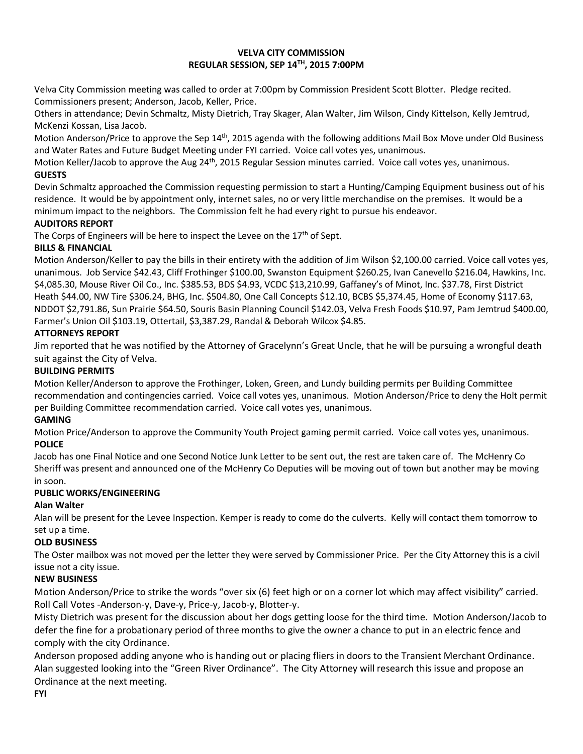#### **VELVA CITY COMMISSION REGULAR SESSION, SEP 14TH, 2015 7:00PM**

Velva City Commission meeting was called to order at 7:00pm by Commission President Scott Blotter. Pledge recited. Commissioners present; Anderson, Jacob, Keller, Price.

Others in attendance; Devin Schmaltz, Misty Dietrich, Tray Skager, Alan Walter, Jim Wilson, Cindy Kittelson, Kelly Jemtrud, McKenzi Kossan, Lisa Jacob.

Motion Anderson/Price to approve the Sep 14<sup>th</sup>, 2015 agenda with the following additions Mail Box Move under Old Business and Water Rates and Future Budget Meeting under FYI carried. Voice call votes yes, unanimous.

Motion Keller/Jacob to approve the Aug 24<sup>th</sup>, 2015 Regular Session minutes carried. Voice call votes yes, unanimous. **GUESTS**

Devin Schmaltz approached the Commission requesting permission to start a Hunting/Camping Equipment business out of his residence. It would be by appointment only, internet sales, no or very little merchandise on the premises. It would be a minimum impact to the neighbors. The Commission felt he had every right to pursue his endeavor.

### **AUDITORS REPORT**

The Corps of Engineers will be here to inspect the Levee on the 17<sup>th</sup> of Sept.

### **BILLS & FINANCIAL**

Motion Anderson/Keller to pay the bills in their entirety with the addition of Jim Wilson \$2,100.00 carried. Voice call votes yes, unanimous. Job Service \$42.43, Cliff Frothinger \$100.00, Swanston Equipment \$260.25, Ivan Canevello \$216.04, Hawkins, Inc. \$4,085.30, Mouse River Oil Co., Inc. \$385.53, BDS \$4.93, VCDC \$13,210.99, Gaffaney's of Minot, Inc. \$37.78, First District Heath \$44.00, NW Tire \$306.24, BHG, Inc. \$504.80, One Call Concepts \$12.10, BCBS \$5,374.45, Home of Economy \$117.63, NDDOT \$2,791.86, Sun Prairie \$64.50, Souris Basin Planning Council \$142.03, Velva Fresh Foods \$10.97, Pam Jemtrud \$400.00, Farmer's Union Oil \$103.19, Ottertail, \$3,387.29, Randal & Deborah Wilcox \$4.85.

# **ATTORNEYS REPORT**

Jim reported that he was notified by the Attorney of Gracelynn's Great Uncle, that he will be pursuing a wrongful death suit against the City of Velva.

### **BUILDING PERMITS**

Motion Keller/Anderson to approve the Frothinger, Loken, Green, and Lundy building permits per Building Committee recommendation and contingencies carried. Voice call votes yes, unanimous. Motion Anderson/Price to deny the Holt permit per Building Committee recommendation carried. Voice call votes yes, unanimous.

# **GAMING**

Motion Price/Anderson to approve the Community Youth Project gaming permit carried. Voice call votes yes, unanimous. **POLICE**

Jacob has one Final Notice and one Second Notice Junk Letter to be sent out, the rest are taken care of. The McHenry Co Sheriff was present and announced one of the McHenry Co Deputies will be moving out of town but another may be moving in soon.

### **PUBLIC WORKS/ENGINEERING**

# **Alan Walter**

Alan will be present for the Levee Inspection. Kemper is ready to come do the culverts. Kelly will contact them tomorrow to set up a time.

### **OLD BUSINESS**

The Oster mailbox was not moved per the letter they were served by Commissioner Price. Per the City Attorney this is a civil issue not a city issue.

### **NEW BUSINESS**

Motion Anderson/Price to strike the words "over six (6) feet high or on a corner lot which may affect visibility" carried. Roll Call Votes -Anderson-y, Dave-y, Price-y, Jacob-y, Blotter-y.

Misty Dietrich was present for the discussion about her dogs getting loose for the third time. Motion Anderson/Jacob to defer the fine for a probationary period of three months to give the owner a chance to put in an electric fence and comply with the city Ordinance.

Anderson proposed adding anyone who is handing out or placing fliers in doors to the Transient Merchant Ordinance. Alan suggested looking into the "Green River Ordinance". The City Attorney will research this issue and propose an Ordinance at the next meeting.

**FYI**